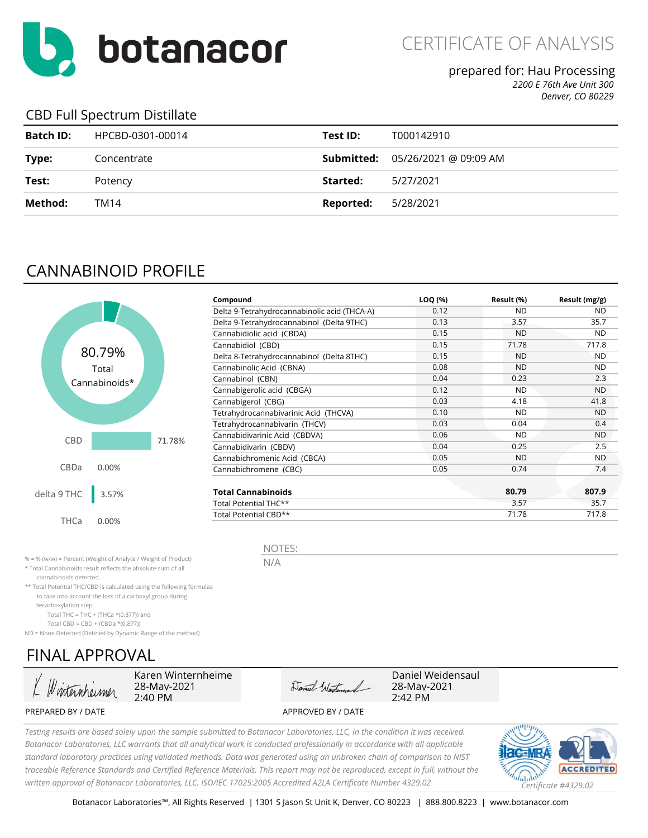

CERTIFICATE OF ANALYSIS

#### prepared for: Hau Processing

*2200 E 76th Ave Unit 300*

*Denver, CO 80229*

### CBD Full Spectrum Distillate

| Batch ID: | HPCBD-0301-00014 | Test ID:  | T000142910                                                 |
|-----------|------------------|-----------|------------------------------------------------------------|
| Type:     | Concentrate      |           | <b>Submitted:</b> $05/26/2021 \text{ @ } 09:09 \text{ AM}$ |
| Test:     | Potency          | Started:  | 5/27/2021                                                  |
| Method:   | TM14             | Reported: | 5/28/2021                                                  |

# CANNABINOID PROFILE



| Compound                                     | LOQ (%) | Result (%) | Result (mg/g) |
|----------------------------------------------|---------|------------|---------------|
| Delta 9-Tetrahydrocannabinolic acid (THCA-A) | 0.12    | ND.        | ND.           |
| Delta 9-Tetrahydrocannabinol (Delta 9THC)    | 0.13    | 3.57       | 35.7          |
| Cannabidiolic acid (CBDA)                    | 0.15    | <b>ND</b>  | <b>ND</b>     |
| Cannabidiol (CBD)                            | 0.15    | 71.78      | 717.8         |
| Delta 8-Tetrahydrocannabinol (Delta 8THC)    | 0.15    | <b>ND</b>  | <b>ND</b>     |
| Cannabinolic Acid (CBNA)                     | 0.08    | <b>ND</b>  | <b>ND</b>     |
| Cannabinol (CBN)                             | 0.04    | 0.23       | 2.3           |
| Cannabigerolic acid (CBGA)                   | 0.12    | <b>ND</b>  | ND.           |
| Cannabigerol (CBG)                           | 0.03    | 4.18       | 41.8          |
| Tetrahydrocannabivarinic Acid (THCVA)        | 0.10    | <b>ND</b>  | <b>ND</b>     |
| Tetrahydrocannabivarin (THCV)                | 0.03    | 0.04       | 0.4           |
| Cannabidivarinic Acid (CBDVA)                | 0.06    | <b>ND</b>  | <b>ND</b>     |
| Cannabidivarin (CBDV)                        | 0.04    | 0.25       | 2.5           |
| Cannabichromenic Acid (CBCA)                 | 0.05    | ND.        | ND.           |
| Cannabichromene (CBC)                        | 0.05    | 0.74       | 7.4           |
| <b>Total Cannabinoids</b>                    |         | 80.79      | 807.9         |
| Total Potential THC**                        |         | 3.57       | 35.7          |
| Total Potential CBD**                        |         | 71.78      | 717.8         |

% = % (w/w) = Percent (Weight of Analyte / Weight of Product)

\* Total Cannabinoids result reflects the absolute sum of all

cannabinoids detected.

\*\* Total Potential THC/CBD is calculated using the following formulas to take into account the loss of a carboxyl group during

decarboxylation step.

Total THC = THC + (THCa  $*(0.877)$ ) and

Total CBD = CBD + (CBDa \*(0.877))

ND = None Detected (Defined by Dynamic Range of the method)

# FINAL APPROVAL

Winternheimer

Karen Winternheime 28-May-2021 2:40 PM

Daniel Westman

NOTES:

N/A

Daniel Weidensaul 28-May-2021 2:42 PM

PREPARED BY / DATE APPROVED BY / DATE

*Testing results are based solely upon the sample submitted to Botanacor Laboratories, LLC, in the condition it was received. Botanacor Laboratories, LLC warrants that all analytical work is conducted professionally in accordance with all applicable standard laboratory practices using validated methods. Data was generated using an unbroken chain of comparison to NIST traceable Reference Standards and Certified Reference Materials. This report may not be reproduced, except in full, without the written approval of Botanacor Laboratories, LLC. ISO/IEC 17025:2005 Accredited A2LA Certificate Number 4329.02 Certificate #4329.02*

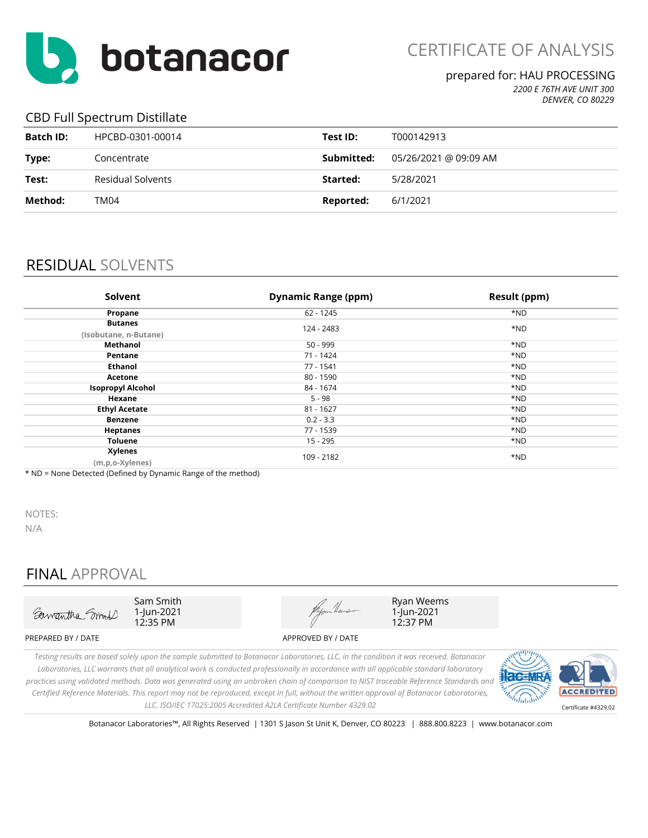

#### prepared for: HAU PROCESSING

*2200 E 76TH AVE UNIT 300 DENVER, CO 80229*

### CBD Full Spectrum Distillate

| <b>Batch ID:</b> | HPCBD-0301-00014  | Test ID:   | T000142913            |
|------------------|-------------------|------------|-----------------------|
| Type:            | Concentrate       | Submitted: | 05/26/2021 @ 09:09 AM |
| Test:            | Residual Solvents | Started:   | 5/28/2021             |
| Method:          | TM04              | Reported:  | 6/1/2021              |

## RESIDUAL SOLVENTS

| Solvent                                 | <b>Dynamic Range (ppm)</b> | Result (ppm) |
|-----------------------------------------|----------------------------|--------------|
| Propane                                 | $62 - 1245$                | *ND          |
| <b>Butanes</b><br>(Isobutane, n-Butane) | 124 - 2483                 | *ND          |
| <b>Methanol</b>                         | $50 - 999$                 | *ND          |
| Pentane                                 | 71 - 1424                  | *ND          |
| <b>Ethanol</b>                          | 77 - 1541                  | *ND          |
| Acetone                                 | 80 - 1590                  | *ND          |
| <b>Isopropyl Alcohol</b>                | 84 - 1674                  | *ND          |
| Hexane                                  | $5 - 98$                   | *ND          |
| <b>Ethyl Acetate</b>                    | $81 - 1627$                | *ND          |
| <b>Benzene</b>                          | $0.2 - 3.3$                | *ND          |
| <b>Heptanes</b>                         | 77 - 1539                  | *ND          |
| <b>Toluene</b>                          | 15 - 295                   | *ND          |
| <b>Xylenes</b><br>(m,p,o-Xylenes)       | 109 - 2182                 | *ND          |

\* ND = None Detected (Defined by Dynamic Range of the method)

NOTES:

N/A

## FINAL APPROVAL



Botanacor Laboratories™, All Rights Reserved | 1301 S Jason St Unit K, Denver, CO 80223 | 888.800.8223 | www.botanacor.com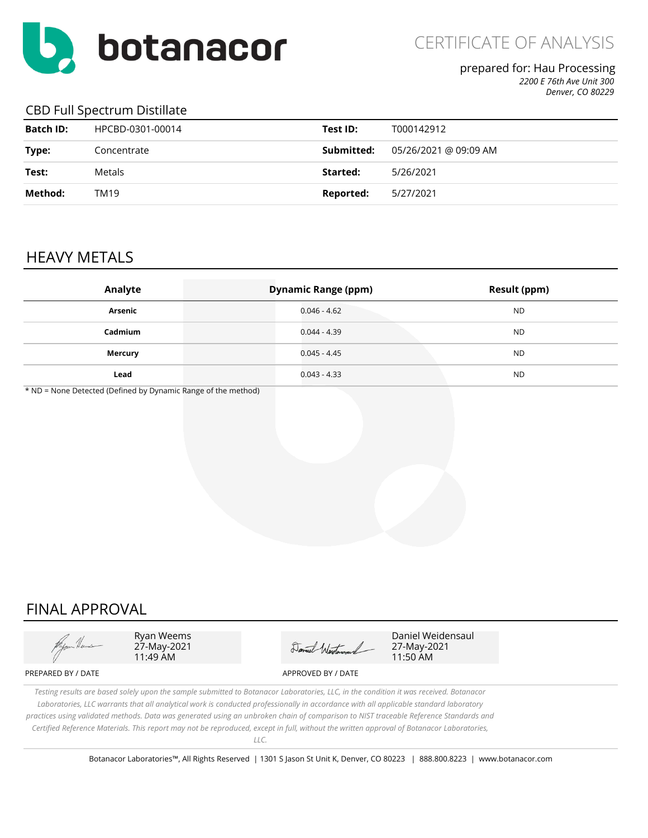

### prepared for: Hau Processing

*2200 E 76th Ave Unit 300 Denver, CO 80229*

#### CBD Full Spectrum Distillate

| <b>Batch ID:</b> | HPCBD-0301-00014 | Test ID:   | T000142912            |
|------------------|------------------|------------|-----------------------|
| Type:            | Concentrate      | Submitted: | 05/26/2021 @ 09:09 AM |
| Test:            | Metals           | Started:   | 5/26/2021             |
| Method:          | TM19             | Reported:  | 5/27/2021             |

## HEAVY METALS

| Analyte | <b>Dynamic Range (ppm)</b> | <b>Result (ppm)</b> |
|---------|----------------------------|---------------------|
| Arsenic | $0.046 - 4.62$             | <b>ND</b>           |
| Cadmium | $0.044 - 4.39$             | <b>ND</b>           |
| Mercury | $0.045 - 4.45$             | <b>ND</b>           |
| Lead    | $0.043 - 4.33$             | <b>ND</b>           |

\* ND = None Detected (Defined by Dynamic Range of the method)

## FINAL APPROVAL



Ryan Weems 27-May-2021 11:49 AM

Daniel Westerand

Daniel Weidensaul 27-May-2021 11:50 AM

*Testing results are based solely upon the sample submitted to Botanacor Laboratories, LLC, in the condition it was received. Botanacor Laboratories, LLC warrants that all analytical work is conducted professionally in accordance with all applicable standard laboratory practices using validated methods. Data was generated using an unbroken chain of comparison to NIST traceable Reference Standards and Certified Reference Materials. This report may not be reproduced, except in full, without the written approval of Botanacor Laboratories, LLC.*